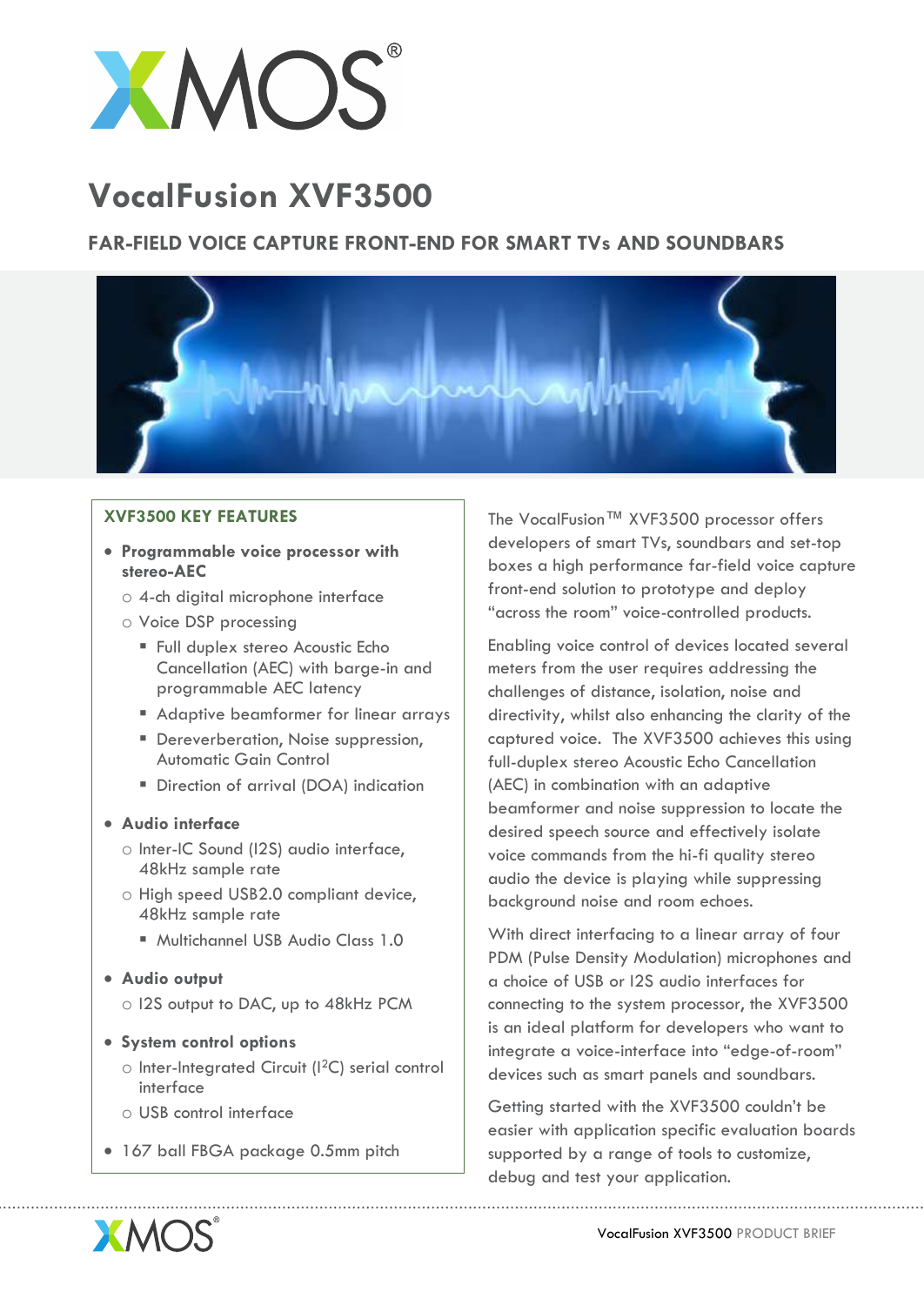

# **VocalFusion XVF3500**

## **FAR-FIELD VOICE CAPTURE FRONT-END FOR SMART TVs AND SOUNDBARS**



### **XVF3500 KEY FEATURES**

- **Programmable voice processor with stereo-AEC**
	- o 4-ch digital microphone interface
	- o Voice DSP processing
		- Full duplex stereo Acoustic Echo Cancellation (AEC) with barge-in and programmable AEC latency
		- **Adaptive beamformer for linear arrays**
		- Dereverberation, Noise suppression, Automatic Gain Control
		- Direction of arrival (DOA) indication

### **Audio interface**

- o Inter-IC Sound (I2S) audio interface, 48kHz sample rate
- o High speed USB2.0 compliant device, 48kHz sample rate
	- Multichannel USB Audio Class 1.0

### **Audio output**

- o I2S output to DAC, up to 48kHz PCM
- **System control options** 
	- o Inter-Integrated Circuit (I2C) serial control interface
	- o USB control interface
- 167 ball FBGA package 0.5mm pitch

The VocalFusion™ XVF3500 processor offers developers of smart TVs, soundbars and set-top boxes a high performance far-field voice capture front-end solution to prototype and deploy "across the room" voice-controlled products.

Enabling voice control of devices located several meters from the user requires addressing the challenges of distance, isolation, noise and directivity, whilst also enhancing the clarity of the captured voice. The XVF3500 achieves this using full-duplex stereo Acoustic Echo Cancellation (AEC) in combination with an adaptive beamformer and noise suppression to locate the desired speech source and effectively isolate voice commands from the hi-fi quality stereo audio the device is playing while suppressing background noise and room echoes.

With direct interfacing to a linear array of four PDM (Pulse Density Modulation) microphones and a choice of USB or I2S audio interfaces for connecting to the system processor, the XVF3500 is an ideal platform for developers who want to integrate a voice-interface into "edge-of-room" devices such as smart panels and soundbars.

Getting started with the XVF3500 couldn't be easier with application specific evaluation boards supported by a range of tools to customize, debug and test your application.